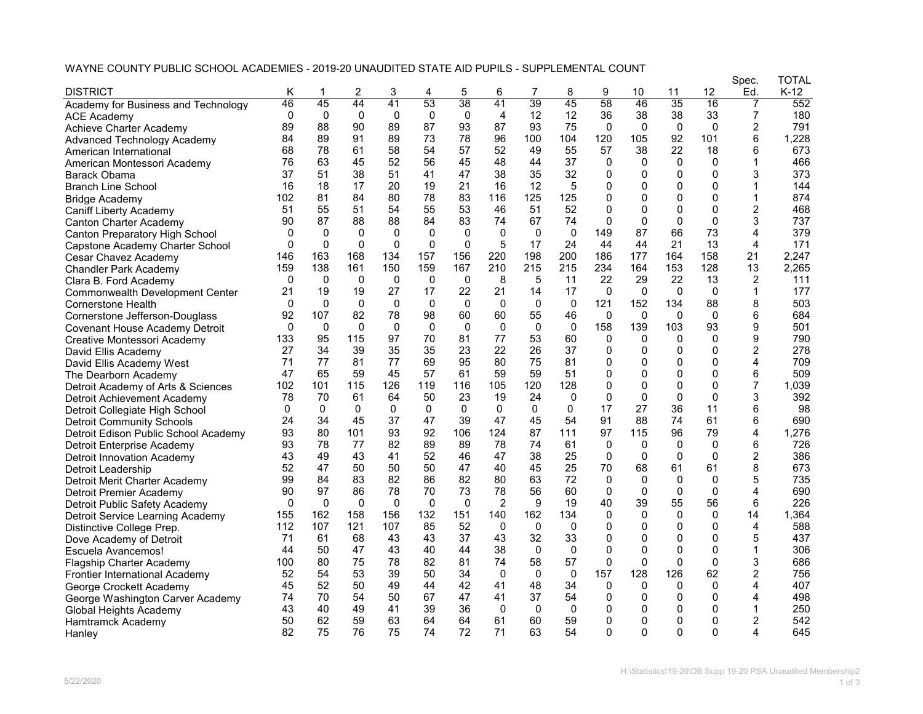## WAYNE COUNTY PUBLIC SCHOOL ACADEMIES - 2019-20 UNAUDITED STATE AID PUPILS - SUPPLEMENTAL COUNT

| 3<br>5<br>6<br>10<br>11<br>Κ<br>4<br>46<br>45<br>44<br>41<br>53<br>38<br>41<br>39<br>45<br>58<br>46<br>35<br>16<br>7<br>552<br>Academy for Business and Technology<br>$\mathbf 0$<br>$\mathbf 0$<br>$\Omega$<br>4<br>$\overline{7}$<br>$\Omega$<br>$\mathbf 0$<br>0<br>12<br>12<br>36<br>38<br>38<br>33<br>180<br><b>ACE Academy</b><br>89<br>88<br>90<br>89<br>87<br>93<br>75<br>$\overline{2}$<br>791<br>87<br>93<br>$\Omega$<br>$\mathbf{0}$<br>$\mathbf{0}$<br>$\Omega$<br>Achieve Charter Academy<br>89<br>89<br>73<br>78<br>120<br>92<br>101<br>6<br>1,228<br>84<br>91<br>96<br>100<br>104<br>105<br><b>Advanced Technology Academy</b><br>68<br>78<br>58<br>54<br>57<br>52<br>55<br>57<br>38<br>22<br>18<br>6<br>673<br>61<br>49<br>American International<br>63<br>45<br>56<br>45<br>466<br>76<br>52<br>48<br>44<br>37<br>0<br>$\Omega$<br>$\mathbf{0}$<br>0<br>1<br>American Montessori Academy<br>37<br>51<br>38<br>51<br>41<br>47<br>38<br>35<br>32<br>3<br>373<br>$\Omega$<br>$\mathbf{0}$<br>$\Omega$<br>$\Omega$<br>Barack Obama<br>21<br>5<br>16<br>18<br>17<br>20<br>19<br>16<br>12<br>$\Omega$<br>$\Omega$<br>$\Omega$<br>$\Omega$<br>144<br><b>Branch Line School</b><br>84<br>83<br>$\Omega$<br>874<br>81<br>80<br>78<br>116<br>125<br>125<br>0<br>$\Omega$<br>0<br>102<br>1<br><b>Bridge Academy</b><br>52<br>2<br>51<br>55<br>51<br>54<br>55<br>53<br>46<br>51<br>$\Omega$<br>$\Omega$<br>$\Omega$<br>$\Omega$<br>468<br>Caniff Liberty Academy<br>87<br>88<br>88<br>84<br>83<br>67<br>74<br>$\Omega$<br>$\mathbf{0}$<br>$\Omega$<br>$\Omega$<br>3<br>737<br>90<br>74<br><b>Canton Charter Academy</b><br>87<br>66<br>73<br>379<br>$\mathbf{0}$<br>$\mathbf{0}$<br>$\mathbf{0}$<br>$\mathbf{0}$<br>$\Omega$<br>$\Omega$<br>$\mathbf{0}$<br>0<br>149<br>4<br>Canton Preparatory High School<br>0<br>$\Omega$<br>$\Omega$<br>$\Omega$<br>$\Omega$<br>$\mathbf 0$<br>5<br>24<br>13<br>$\overline{4}$<br>171<br>$\Omega$<br>17<br>44<br>44<br>21<br>Capstone Academy Charter School<br>163<br>156<br>198<br>200<br>186<br>158<br>21<br>2,247<br>146<br>168<br>134<br>157<br>220<br>177<br>164<br>Cesar Chavez Academy<br>159<br>210<br>215<br>215<br>234<br>159<br>138<br>161<br>150<br>167<br>164<br>153<br>128<br>13<br>2,265<br>Chandler Park Academy<br>$\mathbf 0$<br>8<br>22<br>2<br>111<br>$\Omega$<br>0<br>$\mathbf{0}$<br>0<br>0<br>5<br>11<br>29<br>22<br>13<br>Clara B. Ford Academy<br>27<br>177<br>19<br>17<br>22<br>21<br>14<br>17<br>$\Omega$<br>$\Omega$<br>$\mathbf{0}$<br>$\mathbf{0}$<br>21<br>19<br>1<br><b>Commonwealth Development Center</b><br>503<br>$\Omega$<br>$\mathbf{0}$<br>0<br>$\mathbf 0$<br>0<br>$\Omega$<br>$\mathbf{0}$<br>0<br>121<br>152<br>88<br>8<br>0<br>134<br><b>Cornerstone Health</b><br>107<br>55<br>684<br>92<br>82<br>78<br>98<br>60<br>60<br>46<br>0<br>$\mathbf{0}$<br>0<br>6<br>$\mathbf{0}$<br>Cornerstone Jefferson-Douglass<br>158<br>$\mathbf 0$<br>$\mathbf 0$<br>$\mathbf 0$<br>$\mathbf 0$<br>$\mathbf 0$<br>$\mathbf 0$<br>$\mathbf 0$<br>139<br>103<br>93<br>9<br>501<br>$\Omega$<br>0<br>Covenant House Academy Detroit<br>95<br>97<br>70<br>81<br>77<br>53<br>60<br>9<br>133<br>115<br>$\Omega$<br>$\Omega$<br>$\Omega$<br>$\Omega$<br>790<br>Creative Montessori Academy<br>34<br>39<br>35<br>35<br>23<br>22<br>26<br>37<br>2<br>278<br>27<br>$\Omega$<br>$\Omega$<br>$\Omega$<br>$\Omega$<br>David Ellis Academy<br>77<br>77<br>69<br>95<br>75<br>81<br>$\mathbf{0}$<br>4<br>709<br>71<br>81<br>80<br>0<br>$\Omega$<br>0<br>David Ellis Academy West<br>51<br>509<br>47<br>65<br>59<br>45<br>57<br>61<br>59<br>59<br>0<br>$\Omega$<br>$\Omega$<br>$\Omega$<br>6<br>The Dearborn Academy<br>$\overline{7}$<br>101<br>126<br>119<br>116<br>120<br>128<br>0<br>0<br>$\Omega$<br>$\Omega$<br>1,039<br>102<br>115<br>105<br>Detroit Academy of Arts & Sciences<br>50<br>23<br>19<br>24<br>$\Omega$<br>$\Omega$<br>$\Omega$<br>3<br>392<br>78<br>70<br>61<br>64<br>0<br>0<br>Detroit Achievement Academy<br>36<br>$\mathbf{0}$<br>$\mathbf{0}$<br>0<br>17<br>27<br>11<br>6<br>98<br>0<br>$\mathbf{0}$<br>$\mathbf{0}$<br>0<br>$\mathbf{0}$<br>0<br>Detroit Collegiate High School<br>54<br>91<br>24<br>34<br>45<br>37<br>47<br>39<br>47<br>45<br>88<br>74<br>61<br>6<br>690<br><b>Detroit Community Schools</b><br>92<br>93<br>80<br>101<br>93<br>106<br>124<br>87<br>111<br>97<br>115<br>96<br>79<br>4<br>1,276<br>Detroit Edison Public School Academy<br>89<br>61<br>6<br>93<br>78<br>77<br>82<br>89<br>78<br>74<br>$\Omega$<br>$\Omega$<br>$\Omega$<br>$\Omega$<br>726<br>Detroit Enterprise Academy<br>52<br>25<br>$\Omega$<br>2<br>386<br>43<br>49<br>43<br>41<br>46<br>47<br>38<br>$\Omega$<br>$\Omega$<br>$\Omega$<br><b>Detroit Innovation Academy</b><br>50<br>25<br>8<br>673<br>52<br>47<br>50<br>50<br>47<br>40<br>45<br>70<br>68<br>61<br>61<br>Detroit Leadership<br>99<br>84<br>83<br>82<br>86<br>82<br>80<br>63<br>72<br>$\Omega$<br>5<br>735<br>$\Omega$<br>0<br>0<br>Detroit Merit Charter Academy<br>97<br>86<br>73<br>78<br>56<br>$\mathbf 0$<br>$\mathbf{0}$<br>690<br>90<br>78<br>70<br>60<br>$\mathbf 0$<br>$\Omega$<br>4<br>Detroit Premier Academy<br>$\Omega$<br>$\Omega$<br>$\Omega$<br>$\Omega$<br>$\Omega$<br>$\overline{2}$<br>9<br>19<br>40<br>39<br>55<br>56<br>6<br>226<br>$\Omega$<br>Detroit Public Safety Academy<br>162<br>156<br>132<br>151<br>162<br>134<br>1,364<br>155<br>158<br>140<br>$\Omega$<br>$\Omega$<br>$\Omega$<br>$\Omega$<br>14<br>Detroit Service Learning Academy<br>52<br>$\overline{4}$<br>112<br>107<br>121<br>107<br>85<br>$\Omega$<br>$\mathbf{0}$<br>$\mathbf{0}$<br>$\Omega$<br>$\mathbf{0}$<br>$\Omega$<br>$\Omega$<br>588<br>Distinctive College Prep.<br>32<br>68<br>43<br>43<br>37<br>43<br>33<br>$\Omega$<br>$\Omega$<br>5<br>437<br>71<br>61<br>$\Omega$<br>0<br>Dove Academy of Detroit<br>$\Omega$<br>$\mathbf{0}$<br>306<br>44<br>50<br>47<br>43<br>40<br>44<br>38<br>0<br>0<br>$\Omega$<br>0<br>1<br>Escuela Avancemos!<br>80<br>75<br>82<br>81<br>58<br>57<br>0<br>$\Omega$<br>$\Omega$<br>$\Omega$<br>3<br>686<br>100<br>78<br>74<br><b>Flagship Charter Academy</b><br>157<br>54<br>53<br>39<br>50<br>34<br>$\mathbf 0$<br>$\mathbf 0$<br>128<br>126<br>62<br>2<br>756<br>52<br>0<br>Frontier International Academy<br>45<br>52<br>50<br>49<br>44<br>42<br>41<br>48<br>34<br>$\Omega$<br>4<br>407<br>$\Omega$<br>$\Omega$<br>$\Omega$<br>George Crockett Academy<br>70<br>67<br>37<br>498<br>54<br>50<br>47<br>41<br>54<br>$\Omega$<br>$\Omega$<br>$\Omega$<br>$\Omega$<br>74<br>4<br>George Washington Carver Academy |                               |    |    |    |    |    |    |          |              |          |          |              |          |    | Spec. | TOTAL  |
|-----------------------------------------------------------------------------------------------------------------------------------------------------------------------------------------------------------------------------------------------------------------------------------------------------------------------------------------------------------------------------------------------------------------------------------------------------------------------------------------------------------------------------------------------------------------------------------------------------------------------------------------------------------------------------------------------------------------------------------------------------------------------------------------------------------------------------------------------------------------------------------------------------------------------------------------------------------------------------------------------------------------------------------------------------------------------------------------------------------------------------------------------------------------------------------------------------------------------------------------------------------------------------------------------------------------------------------------------------------------------------------------------------------------------------------------------------------------------------------------------------------------------------------------------------------------------------------------------------------------------------------------------------------------------------------------------------------------------------------------------------------------------------------------------------------------------------------------------------------------------------------------------------------------------------------------------------------------------------------------------------------------------------------------------------------------------------------------------------------------------------------------------------------------------------------------------------------------------------------------------------------------------------------------------------------------------------------------------------------------------------------------------------------------------------------------------------------------------------------------------------------------------------------------------------------------------------------------------------------------------------------------------------------------------------------------------------------------------------------------------------------------------------------------------------------------------------------------------------------------------------------------------------------------------------------------------------------------------------------------------------------------------------------------------------------------------------------------------------------------------------------------------------------------------------------------------------------------------------------------------------------------------------------------------------------------------------------------------------------------------------------------------------------------------------------------------------------------------------------------------------------------------------------------------------------------------------------------------------------------------------------------------------------------------------------------------------------------------------------------------------------------------------------------------------------------------------------------------------------------------------------------------------------------------------------------------------------------------------------------------------------------------------------------------------------------------------------------------------------------------------------------------------------------------------------------------------------------------------------------------------------------------------------------------------------------------------------------------------------------------------------------------------------------------------------------------------------------------------------------------------------------------------------------------------------------------------------------------------------------------------------------------------------------------------------------------------------------------------------------------------------------------------------------------------------------------------------------------------------------------------------------------------------------------------------------------------------------------------------------------------------------------------------------------------------------------------------------------------------------------------------------------------------------------------------------------------------------------------------------------------------------------------------------------------------------------------------------------------------------------------------------------------------------------------------------------------------------------------------------------------------------------------------------------------------------------------------------------------------------------------------------------------------------------------------------------------------------------------------------------------------------------------------------------------------------------------------------------------------------------------------------------------------------------------------------------------------------------------------------------------------------------------------------------------------------------------------------------------------------------------------------------------------------------------------------------------------------------------------------------------------------------------------------------------------------------------------------------------------------------------------------------------------------------------------------------------------------------------------------------------------------------------------------------------------------------------|-------------------------------|----|----|----|----|----|----|----------|--------------|----------|----------|--------------|----------|----|-------|--------|
|                                                                                                                                                                                                                                                                                                                                                                                                                                                                                                                                                                                                                                                                                                                                                                                                                                                                                                                                                                                                                                                                                                                                                                                                                                                                                                                                                                                                                                                                                                                                                                                                                                                                                                                                                                                                                                                                                                                                                                                                                                                                                                                                                                                                                                                                                                                                                                                                                                                                                                                                                                                                                                                                                                                                                                                                                                                                                                                                                                                                                                                                                                                                                                                                                                                                                                                                                                                                                                                                                                                                                                                                                                                                                                                                                                                                                                                                                                                                                                                                                                                                                                                                                                                                                                                                                                                                                                                                                                                                                                                                                                                                                                                                                                                                                                                                                                                                                                                                                                                                                                                                                                                                                                                                                                                                                                                                                                                                                                                                                                                                                                                                                                                                                                                                                                                                                                                                                                                                                                                                                                                                                                                                                                                                                                                                                                                                                                                                                                                                                                                                                                             | <b>DISTRICT</b>               |    |    | 2  |    |    |    |          |              | 8        | 9        |              |          | 12 | Ed.   | $K-12$ |
|                                                                                                                                                                                                                                                                                                                                                                                                                                                                                                                                                                                                                                                                                                                                                                                                                                                                                                                                                                                                                                                                                                                                                                                                                                                                                                                                                                                                                                                                                                                                                                                                                                                                                                                                                                                                                                                                                                                                                                                                                                                                                                                                                                                                                                                                                                                                                                                                                                                                                                                                                                                                                                                                                                                                                                                                                                                                                                                                                                                                                                                                                                                                                                                                                                                                                                                                                                                                                                                                                                                                                                                                                                                                                                                                                                                                                                                                                                                                                                                                                                                                                                                                                                                                                                                                                                                                                                                                                                                                                                                                                                                                                                                                                                                                                                                                                                                                                                                                                                                                                                                                                                                                                                                                                                                                                                                                                                                                                                                                                                                                                                                                                                                                                                                                                                                                                                                                                                                                                                                                                                                                                                                                                                                                                                                                                                                                                                                                                                                                                                                                                                             |                               |    |    |    |    |    |    |          |              |          |          |              |          |    |       |        |
|                                                                                                                                                                                                                                                                                                                                                                                                                                                                                                                                                                                                                                                                                                                                                                                                                                                                                                                                                                                                                                                                                                                                                                                                                                                                                                                                                                                                                                                                                                                                                                                                                                                                                                                                                                                                                                                                                                                                                                                                                                                                                                                                                                                                                                                                                                                                                                                                                                                                                                                                                                                                                                                                                                                                                                                                                                                                                                                                                                                                                                                                                                                                                                                                                                                                                                                                                                                                                                                                                                                                                                                                                                                                                                                                                                                                                                                                                                                                                                                                                                                                                                                                                                                                                                                                                                                                                                                                                                                                                                                                                                                                                                                                                                                                                                                                                                                                                                                                                                                                                                                                                                                                                                                                                                                                                                                                                                                                                                                                                                                                                                                                                                                                                                                                                                                                                                                                                                                                                                                                                                                                                                                                                                                                                                                                                                                                                                                                                                                                                                                                                                             |                               |    |    |    |    |    |    |          |              |          |          |              |          |    |       |        |
|                                                                                                                                                                                                                                                                                                                                                                                                                                                                                                                                                                                                                                                                                                                                                                                                                                                                                                                                                                                                                                                                                                                                                                                                                                                                                                                                                                                                                                                                                                                                                                                                                                                                                                                                                                                                                                                                                                                                                                                                                                                                                                                                                                                                                                                                                                                                                                                                                                                                                                                                                                                                                                                                                                                                                                                                                                                                                                                                                                                                                                                                                                                                                                                                                                                                                                                                                                                                                                                                                                                                                                                                                                                                                                                                                                                                                                                                                                                                                                                                                                                                                                                                                                                                                                                                                                                                                                                                                                                                                                                                                                                                                                                                                                                                                                                                                                                                                                                                                                                                                                                                                                                                                                                                                                                                                                                                                                                                                                                                                                                                                                                                                                                                                                                                                                                                                                                                                                                                                                                                                                                                                                                                                                                                                                                                                                                                                                                                                                                                                                                                                                             |                               |    |    |    |    |    |    |          |              |          |          |              |          |    |       |        |
|                                                                                                                                                                                                                                                                                                                                                                                                                                                                                                                                                                                                                                                                                                                                                                                                                                                                                                                                                                                                                                                                                                                                                                                                                                                                                                                                                                                                                                                                                                                                                                                                                                                                                                                                                                                                                                                                                                                                                                                                                                                                                                                                                                                                                                                                                                                                                                                                                                                                                                                                                                                                                                                                                                                                                                                                                                                                                                                                                                                                                                                                                                                                                                                                                                                                                                                                                                                                                                                                                                                                                                                                                                                                                                                                                                                                                                                                                                                                                                                                                                                                                                                                                                                                                                                                                                                                                                                                                                                                                                                                                                                                                                                                                                                                                                                                                                                                                                                                                                                                                                                                                                                                                                                                                                                                                                                                                                                                                                                                                                                                                                                                                                                                                                                                                                                                                                                                                                                                                                                                                                                                                                                                                                                                                                                                                                                                                                                                                                                                                                                                                                             |                               |    |    |    |    |    |    |          |              |          |          |              |          |    |       |        |
|                                                                                                                                                                                                                                                                                                                                                                                                                                                                                                                                                                                                                                                                                                                                                                                                                                                                                                                                                                                                                                                                                                                                                                                                                                                                                                                                                                                                                                                                                                                                                                                                                                                                                                                                                                                                                                                                                                                                                                                                                                                                                                                                                                                                                                                                                                                                                                                                                                                                                                                                                                                                                                                                                                                                                                                                                                                                                                                                                                                                                                                                                                                                                                                                                                                                                                                                                                                                                                                                                                                                                                                                                                                                                                                                                                                                                                                                                                                                                                                                                                                                                                                                                                                                                                                                                                                                                                                                                                                                                                                                                                                                                                                                                                                                                                                                                                                                                                                                                                                                                                                                                                                                                                                                                                                                                                                                                                                                                                                                                                                                                                                                                                                                                                                                                                                                                                                                                                                                                                                                                                                                                                                                                                                                                                                                                                                                                                                                                                                                                                                                                                             |                               |    |    |    |    |    |    |          |              |          |          |              |          |    |       |        |
|                                                                                                                                                                                                                                                                                                                                                                                                                                                                                                                                                                                                                                                                                                                                                                                                                                                                                                                                                                                                                                                                                                                                                                                                                                                                                                                                                                                                                                                                                                                                                                                                                                                                                                                                                                                                                                                                                                                                                                                                                                                                                                                                                                                                                                                                                                                                                                                                                                                                                                                                                                                                                                                                                                                                                                                                                                                                                                                                                                                                                                                                                                                                                                                                                                                                                                                                                                                                                                                                                                                                                                                                                                                                                                                                                                                                                                                                                                                                                                                                                                                                                                                                                                                                                                                                                                                                                                                                                                                                                                                                                                                                                                                                                                                                                                                                                                                                                                                                                                                                                                                                                                                                                                                                                                                                                                                                                                                                                                                                                                                                                                                                                                                                                                                                                                                                                                                                                                                                                                                                                                                                                                                                                                                                                                                                                                                                                                                                                                                                                                                                                                             |                               |    |    |    |    |    |    |          |              |          |          |              |          |    |       |        |
|                                                                                                                                                                                                                                                                                                                                                                                                                                                                                                                                                                                                                                                                                                                                                                                                                                                                                                                                                                                                                                                                                                                                                                                                                                                                                                                                                                                                                                                                                                                                                                                                                                                                                                                                                                                                                                                                                                                                                                                                                                                                                                                                                                                                                                                                                                                                                                                                                                                                                                                                                                                                                                                                                                                                                                                                                                                                                                                                                                                                                                                                                                                                                                                                                                                                                                                                                                                                                                                                                                                                                                                                                                                                                                                                                                                                                                                                                                                                                                                                                                                                                                                                                                                                                                                                                                                                                                                                                                                                                                                                                                                                                                                                                                                                                                                                                                                                                                                                                                                                                                                                                                                                                                                                                                                                                                                                                                                                                                                                                                                                                                                                                                                                                                                                                                                                                                                                                                                                                                                                                                                                                                                                                                                                                                                                                                                                                                                                                                                                                                                                                                             |                               |    |    |    |    |    |    |          |              |          |          |              |          |    |       |        |
|                                                                                                                                                                                                                                                                                                                                                                                                                                                                                                                                                                                                                                                                                                                                                                                                                                                                                                                                                                                                                                                                                                                                                                                                                                                                                                                                                                                                                                                                                                                                                                                                                                                                                                                                                                                                                                                                                                                                                                                                                                                                                                                                                                                                                                                                                                                                                                                                                                                                                                                                                                                                                                                                                                                                                                                                                                                                                                                                                                                                                                                                                                                                                                                                                                                                                                                                                                                                                                                                                                                                                                                                                                                                                                                                                                                                                                                                                                                                                                                                                                                                                                                                                                                                                                                                                                                                                                                                                                                                                                                                                                                                                                                                                                                                                                                                                                                                                                                                                                                                                                                                                                                                                                                                                                                                                                                                                                                                                                                                                                                                                                                                                                                                                                                                                                                                                                                                                                                                                                                                                                                                                                                                                                                                                                                                                                                                                                                                                                                                                                                                                                             |                               |    |    |    |    |    |    |          |              |          |          |              |          |    |       |        |
|                                                                                                                                                                                                                                                                                                                                                                                                                                                                                                                                                                                                                                                                                                                                                                                                                                                                                                                                                                                                                                                                                                                                                                                                                                                                                                                                                                                                                                                                                                                                                                                                                                                                                                                                                                                                                                                                                                                                                                                                                                                                                                                                                                                                                                                                                                                                                                                                                                                                                                                                                                                                                                                                                                                                                                                                                                                                                                                                                                                                                                                                                                                                                                                                                                                                                                                                                                                                                                                                                                                                                                                                                                                                                                                                                                                                                                                                                                                                                                                                                                                                                                                                                                                                                                                                                                                                                                                                                                                                                                                                                                                                                                                                                                                                                                                                                                                                                                                                                                                                                                                                                                                                                                                                                                                                                                                                                                                                                                                                                                                                                                                                                                                                                                                                                                                                                                                                                                                                                                                                                                                                                                                                                                                                                                                                                                                                                                                                                                                                                                                                                                             |                               |    |    |    |    |    |    |          |              |          |          |              |          |    |       |        |
|                                                                                                                                                                                                                                                                                                                                                                                                                                                                                                                                                                                                                                                                                                                                                                                                                                                                                                                                                                                                                                                                                                                                                                                                                                                                                                                                                                                                                                                                                                                                                                                                                                                                                                                                                                                                                                                                                                                                                                                                                                                                                                                                                                                                                                                                                                                                                                                                                                                                                                                                                                                                                                                                                                                                                                                                                                                                                                                                                                                                                                                                                                                                                                                                                                                                                                                                                                                                                                                                                                                                                                                                                                                                                                                                                                                                                                                                                                                                                                                                                                                                                                                                                                                                                                                                                                                                                                                                                                                                                                                                                                                                                                                                                                                                                                                                                                                                                                                                                                                                                                                                                                                                                                                                                                                                                                                                                                                                                                                                                                                                                                                                                                                                                                                                                                                                                                                                                                                                                                                                                                                                                                                                                                                                                                                                                                                                                                                                                                                                                                                                                                             |                               |    |    |    |    |    |    |          |              |          |          |              |          |    |       |        |
|                                                                                                                                                                                                                                                                                                                                                                                                                                                                                                                                                                                                                                                                                                                                                                                                                                                                                                                                                                                                                                                                                                                                                                                                                                                                                                                                                                                                                                                                                                                                                                                                                                                                                                                                                                                                                                                                                                                                                                                                                                                                                                                                                                                                                                                                                                                                                                                                                                                                                                                                                                                                                                                                                                                                                                                                                                                                                                                                                                                                                                                                                                                                                                                                                                                                                                                                                                                                                                                                                                                                                                                                                                                                                                                                                                                                                                                                                                                                                                                                                                                                                                                                                                                                                                                                                                                                                                                                                                                                                                                                                                                                                                                                                                                                                                                                                                                                                                                                                                                                                                                                                                                                                                                                                                                                                                                                                                                                                                                                                                                                                                                                                                                                                                                                                                                                                                                                                                                                                                                                                                                                                                                                                                                                                                                                                                                                                                                                                                                                                                                                                                             |                               |    |    |    |    |    |    |          |              |          |          |              |          |    |       |        |
|                                                                                                                                                                                                                                                                                                                                                                                                                                                                                                                                                                                                                                                                                                                                                                                                                                                                                                                                                                                                                                                                                                                                                                                                                                                                                                                                                                                                                                                                                                                                                                                                                                                                                                                                                                                                                                                                                                                                                                                                                                                                                                                                                                                                                                                                                                                                                                                                                                                                                                                                                                                                                                                                                                                                                                                                                                                                                                                                                                                                                                                                                                                                                                                                                                                                                                                                                                                                                                                                                                                                                                                                                                                                                                                                                                                                                                                                                                                                                                                                                                                                                                                                                                                                                                                                                                                                                                                                                                                                                                                                                                                                                                                                                                                                                                                                                                                                                                                                                                                                                                                                                                                                                                                                                                                                                                                                                                                                                                                                                                                                                                                                                                                                                                                                                                                                                                                                                                                                                                                                                                                                                                                                                                                                                                                                                                                                                                                                                                                                                                                                                                             |                               |    |    |    |    |    |    |          |              |          |          |              |          |    |       |        |
|                                                                                                                                                                                                                                                                                                                                                                                                                                                                                                                                                                                                                                                                                                                                                                                                                                                                                                                                                                                                                                                                                                                                                                                                                                                                                                                                                                                                                                                                                                                                                                                                                                                                                                                                                                                                                                                                                                                                                                                                                                                                                                                                                                                                                                                                                                                                                                                                                                                                                                                                                                                                                                                                                                                                                                                                                                                                                                                                                                                                                                                                                                                                                                                                                                                                                                                                                                                                                                                                                                                                                                                                                                                                                                                                                                                                                                                                                                                                                                                                                                                                                                                                                                                                                                                                                                                                                                                                                                                                                                                                                                                                                                                                                                                                                                                                                                                                                                                                                                                                                                                                                                                                                                                                                                                                                                                                                                                                                                                                                                                                                                                                                                                                                                                                                                                                                                                                                                                                                                                                                                                                                                                                                                                                                                                                                                                                                                                                                                                                                                                                                                             |                               |    |    |    |    |    |    |          |              |          |          |              |          |    |       |        |
|                                                                                                                                                                                                                                                                                                                                                                                                                                                                                                                                                                                                                                                                                                                                                                                                                                                                                                                                                                                                                                                                                                                                                                                                                                                                                                                                                                                                                                                                                                                                                                                                                                                                                                                                                                                                                                                                                                                                                                                                                                                                                                                                                                                                                                                                                                                                                                                                                                                                                                                                                                                                                                                                                                                                                                                                                                                                                                                                                                                                                                                                                                                                                                                                                                                                                                                                                                                                                                                                                                                                                                                                                                                                                                                                                                                                                                                                                                                                                                                                                                                                                                                                                                                                                                                                                                                                                                                                                                                                                                                                                                                                                                                                                                                                                                                                                                                                                                                                                                                                                                                                                                                                                                                                                                                                                                                                                                                                                                                                                                                                                                                                                                                                                                                                                                                                                                                                                                                                                                                                                                                                                                                                                                                                                                                                                                                                                                                                                                                                                                                                                                             |                               |    |    |    |    |    |    |          |              |          |          |              |          |    |       |        |
|                                                                                                                                                                                                                                                                                                                                                                                                                                                                                                                                                                                                                                                                                                                                                                                                                                                                                                                                                                                                                                                                                                                                                                                                                                                                                                                                                                                                                                                                                                                                                                                                                                                                                                                                                                                                                                                                                                                                                                                                                                                                                                                                                                                                                                                                                                                                                                                                                                                                                                                                                                                                                                                                                                                                                                                                                                                                                                                                                                                                                                                                                                                                                                                                                                                                                                                                                                                                                                                                                                                                                                                                                                                                                                                                                                                                                                                                                                                                                                                                                                                                                                                                                                                                                                                                                                                                                                                                                                                                                                                                                                                                                                                                                                                                                                                                                                                                                                                                                                                                                                                                                                                                                                                                                                                                                                                                                                                                                                                                                                                                                                                                                                                                                                                                                                                                                                                                                                                                                                                                                                                                                                                                                                                                                                                                                                                                                                                                                                                                                                                                                                             |                               |    |    |    |    |    |    |          |              |          |          |              |          |    |       |        |
|                                                                                                                                                                                                                                                                                                                                                                                                                                                                                                                                                                                                                                                                                                                                                                                                                                                                                                                                                                                                                                                                                                                                                                                                                                                                                                                                                                                                                                                                                                                                                                                                                                                                                                                                                                                                                                                                                                                                                                                                                                                                                                                                                                                                                                                                                                                                                                                                                                                                                                                                                                                                                                                                                                                                                                                                                                                                                                                                                                                                                                                                                                                                                                                                                                                                                                                                                                                                                                                                                                                                                                                                                                                                                                                                                                                                                                                                                                                                                                                                                                                                                                                                                                                                                                                                                                                                                                                                                                                                                                                                                                                                                                                                                                                                                                                                                                                                                                                                                                                                                                                                                                                                                                                                                                                                                                                                                                                                                                                                                                                                                                                                                                                                                                                                                                                                                                                                                                                                                                                                                                                                                                                                                                                                                                                                                                                                                                                                                                                                                                                                                                             |                               |    |    |    |    |    |    |          |              |          |          |              |          |    |       |        |
|                                                                                                                                                                                                                                                                                                                                                                                                                                                                                                                                                                                                                                                                                                                                                                                                                                                                                                                                                                                                                                                                                                                                                                                                                                                                                                                                                                                                                                                                                                                                                                                                                                                                                                                                                                                                                                                                                                                                                                                                                                                                                                                                                                                                                                                                                                                                                                                                                                                                                                                                                                                                                                                                                                                                                                                                                                                                                                                                                                                                                                                                                                                                                                                                                                                                                                                                                                                                                                                                                                                                                                                                                                                                                                                                                                                                                                                                                                                                                                                                                                                                                                                                                                                                                                                                                                                                                                                                                                                                                                                                                                                                                                                                                                                                                                                                                                                                                                                                                                                                                                                                                                                                                                                                                                                                                                                                                                                                                                                                                                                                                                                                                                                                                                                                                                                                                                                                                                                                                                                                                                                                                                                                                                                                                                                                                                                                                                                                                                                                                                                                                                             |                               |    |    |    |    |    |    |          |              |          |          |              |          |    |       |        |
|                                                                                                                                                                                                                                                                                                                                                                                                                                                                                                                                                                                                                                                                                                                                                                                                                                                                                                                                                                                                                                                                                                                                                                                                                                                                                                                                                                                                                                                                                                                                                                                                                                                                                                                                                                                                                                                                                                                                                                                                                                                                                                                                                                                                                                                                                                                                                                                                                                                                                                                                                                                                                                                                                                                                                                                                                                                                                                                                                                                                                                                                                                                                                                                                                                                                                                                                                                                                                                                                                                                                                                                                                                                                                                                                                                                                                                                                                                                                                                                                                                                                                                                                                                                                                                                                                                                                                                                                                                                                                                                                                                                                                                                                                                                                                                                                                                                                                                                                                                                                                                                                                                                                                                                                                                                                                                                                                                                                                                                                                                                                                                                                                                                                                                                                                                                                                                                                                                                                                                                                                                                                                                                                                                                                                                                                                                                                                                                                                                                                                                                                                                             |                               |    |    |    |    |    |    |          |              |          |          |              |          |    |       |        |
|                                                                                                                                                                                                                                                                                                                                                                                                                                                                                                                                                                                                                                                                                                                                                                                                                                                                                                                                                                                                                                                                                                                                                                                                                                                                                                                                                                                                                                                                                                                                                                                                                                                                                                                                                                                                                                                                                                                                                                                                                                                                                                                                                                                                                                                                                                                                                                                                                                                                                                                                                                                                                                                                                                                                                                                                                                                                                                                                                                                                                                                                                                                                                                                                                                                                                                                                                                                                                                                                                                                                                                                                                                                                                                                                                                                                                                                                                                                                                                                                                                                                                                                                                                                                                                                                                                                                                                                                                                                                                                                                                                                                                                                                                                                                                                                                                                                                                                                                                                                                                                                                                                                                                                                                                                                                                                                                                                                                                                                                                                                                                                                                                                                                                                                                                                                                                                                                                                                                                                                                                                                                                                                                                                                                                                                                                                                                                                                                                                                                                                                                                                             |                               |    |    |    |    |    |    |          |              |          |          |              |          |    |       |        |
|                                                                                                                                                                                                                                                                                                                                                                                                                                                                                                                                                                                                                                                                                                                                                                                                                                                                                                                                                                                                                                                                                                                                                                                                                                                                                                                                                                                                                                                                                                                                                                                                                                                                                                                                                                                                                                                                                                                                                                                                                                                                                                                                                                                                                                                                                                                                                                                                                                                                                                                                                                                                                                                                                                                                                                                                                                                                                                                                                                                                                                                                                                                                                                                                                                                                                                                                                                                                                                                                                                                                                                                                                                                                                                                                                                                                                                                                                                                                                                                                                                                                                                                                                                                                                                                                                                                                                                                                                                                                                                                                                                                                                                                                                                                                                                                                                                                                                                                                                                                                                                                                                                                                                                                                                                                                                                                                                                                                                                                                                                                                                                                                                                                                                                                                                                                                                                                                                                                                                                                                                                                                                                                                                                                                                                                                                                                                                                                                                                                                                                                                                                             |                               |    |    |    |    |    |    |          |              |          |          |              |          |    |       |        |
|                                                                                                                                                                                                                                                                                                                                                                                                                                                                                                                                                                                                                                                                                                                                                                                                                                                                                                                                                                                                                                                                                                                                                                                                                                                                                                                                                                                                                                                                                                                                                                                                                                                                                                                                                                                                                                                                                                                                                                                                                                                                                                                                                                                                                                                                                                                                                                                                                                                                                                                                                                                                                                                                                                                                                                                                                                                                                                                                                                                                                                                                                                                                                                                                                                                                                                                                                                                                                                                                                                                                                                                                                                                                                                                                                                                                                                                                                                                                                                                                                                                                                                                                                                                                                                                                                                                                                                                                                                                                                                                                                                                                                                                                                                                                                                                                                                                                                                                                                                                                                                                                                                                                                                                                                                                                                                                                                                                                                                                                                                                                                                                                                                                                                                                                                                                                                                                                                                                                                                                                                                                                                                                                                                                                                                                                                                                                                                                                                                                                                                                                                                             |                               |    |    |    |    |    |    |          |              |          |          |              |          |    |       |        |
|                                                                                                                                                                                                                                                                                                                                                                                                                                                                                                                                                                                                                                                                                                                                                                                                                                                                                                                                                                                                                                                                                                                                                                                                                                                                                                                                                                                                                                                                                                                                                                                                                                                                                                                                                                                                                                                                                                                                                                                                                                                                                                                                                                                                                                                                                                                                                                                                                                                                                                                                                                                                                                                                                                                                                                                                                                                                                                                                                                                                                                                                                                                                                                                                                                                                                                                                                                                                                                                                                                                                                                                                                                                                                                                                                                                                                                                                                                                                                                                                                                                                                                                                                                                                                                                                                                                                                                                                                                                                                                                                                                                                                                                                                                                                                                                                                                                                                                                                                                                                                                                                                                                                                                                                                                                                                                                                                                                                                                                                                                                                                                                                                                                                                                                                                                                                                                                                                                                                                                                                                                                                                                                                                                                                                                                                                                                                                                                                                                                                                                                                                                             |                               |    |    |    |    |    |    |          |              |          |          |              |          |    |       |        |
|                                                                                                                                                                                                                                                                                                                                                                                                                                                                                                                                                                                                                                                                                                                                                                                                                                                                                                                                                                                                                                                                                                                                                                                                                                                                                                                                                                                                                                                                                                                                                                                                                                                                                                                                                                                                                                                                                                                                                                                                                                                                                                                                                                                                                                                                                                                                                                                                                                                                                                                                                                                                                                                                                                                                                                                                                                                                                                                                                                                                                                                                                                                                                                                                                                                                                                                                                                                                                                                                                                                                                                                                                                                                                                                                                                                                                                                                                                                                                                                                                                                                                                                                                                                                                                                                                                                                                                                                                                                                                                                                                                                                                                                                                                                                                                                                                                                                                                                                                                                                                                                                                                                                                                                                                                                                                                                                                                                                                                                                                                                                                                                                                                                                                                                                                                                                                                                                                                                                                                                                                                                                                                                                                                                                                                                                                                                                                                                                                                                                                                                                                                             |                               |    |    |    |    |    |    |          |              |          |          |              |          |    |       |        |
|                                                                                                                                                                                                                                                                                                                                                                                                                                                                                                                                                                                                                                                                                                                                                                                                                                                                                                                                                                                                                                                                                                                                                                                                                                                                                                                                                                                                                                                                                                                                                                                                                                                                                                                                                                                                                                                                                                                                                                                                                                                                                                                                                                                                                                                                                                                                                                                                                                                                                                                                                                                                                                                                                                                                                                                                                                                                                                                                                                                                                                                                                                                                                                                                                                                                                                                                                                                                                                                                                                                                                                                                                                                                                                                                                                                                                                                                                                                                                                                                                                                                                                                                                                                                                                                                                                                                                                                                                                                                                                                                                                                                                                                                                                                                                                                                                                                                                                                                                                                                                                                                                                                                                                                                                                                                                                                                                                                                                                                                                                                                                                                                                                                                                                                                                                                                                                                                                                                                                                                                                                                                                                                                                                                                                                                                                                                                                                                                                                                                                                                                                                             |                               |    |    |    |    |    |    |          |              |          |          |              |          |    |       |        |
|                                                                                                                                                                                                                                                                                                                                                                                                                                                                                                                                                                                                                                                                                                                                                                                                                                                                                                                                                                                                                                                                                                                                                                                                                                                                                                                                                                                                                                                                                                                                                                                                                                                                                                                                                                                                                                                                                                                                                                                                                                                                                                                                                                                                                                                                                                                                                                                                                                                                                                                                                                                                                                                                                                                                                                                                                                                                                                                                                                                                                                                                                                                                                                                                                                                                                                                                                                                                                                                                                                                                                                                                                                                                                                                                                                                                                                                                                                                                                                                                                                                                                                                                                                                                                                                                                                                                                                                                                                                                                                                                                                                                                                                                                                                                                                                                                                                                                                                                                                                                                                                                                                                                                                                                                                                                                                                                                                                                                                                                                                                                                                                                                                                                                                                                                                                                                                                                                                                                                                                                                                                                                                                                                                                                                                                                                                                                                                                                                                                                                                                                                                             |                               |    |    |    |    |    |    |          |              |          |          |              |          |    |       |        |
|                                                                                                                                                                                                                                                                                                                                                                                                                                                                                                                                                                                                                                                                                                                                                                                                                                                                                                                                                                                                                                                                                                                                                                                                                                                                                                                                                                                                                                                                                                                                                                                                                                                                                                                                                                                                                                                                                                                                                                                                                                                                                                                                                                                                                                                                                                                                                                                                                                                                                                                                                                                                                                                                                                                                                                                                                                                                                                                                                                                                                                                                                                                                                                                                                                                                                                                                                                                                                                                                                                                                                                                                                                                                                                                                                                                                                                                                                                                                                                                                                                                                                                                                                                                                                                                                                                                                                                                                                                                                                                                                                                                                                                                                                                                                                                                                                                                                                                                                                                                                                                                                                                                                                                                                                                                                                                                                                                                                                                                                                                                                                                                                                                                                                                                                                                                                                                                                                                                                                                                                                                                                                                                                                                                                                                                                                                                                                                                                                                                                                                                                                                             |                               |    |    |    |    |    |    |          |              |          |          |              |          |    |       |        |
|                                                                                                                                                                                                                                                                                                                                                                                                                                                                                                                                                                                                                                                                                                                                                                                                                                                                                                                                                                                                                                                                                                                                                                                                                                                                                                                                                                                                                                                                                                                                                                                                                                                                                                                                                                                                                                                                                                                                                                                                                                                                                                                                                                                                                                                                                                                                                                                                                                                                                                                                                                                                                                                                                                                                                                                                                                                                                                                                                                                                                                                                                                                                                                                                                                                                                                                                                                                                                                                                                                                                                                                                                                                                                                                                                                                                                                                                                                                                                                                                                                                                                                                                                                                                                                                                                                                                                                                                                                                                                                                                                                                                                                                                                                                                                                                                                                                                                                                                                                                                                                                                                                                                                                                                                                                                                                                                                                                                                                                                                                                                                                                                                                                                                                                                                                                                                                                                                                                                                                                                                                                                                                                                                                                                                                                                                                                                                                                                                                                                                                                                                                             |                               |    |    |    |    |    |    |          |              |          |          |              |          |    |       |        |
|                                                                                                                                                                                                                                                                                                                                                                                                                                                                                                                                                                                                                                                                                                                                                                                                                                                                                                                                                                                                                                                                                                                                                                                                                                                                                                                                                                                                                                                                                                                                                                                                                                                                                                                                                                                                                                                                                                                                                                                                                                                                                                                                                                                                                                                                                                                                                                                                                                                                                                                                                                                                                                                                                                                                                                                                                                                                                                                                                                                                                                                                                                                                                                                                                                                                                                                                                                                                                                                                                                                                                                                                                                                                                                                                                                                                                                                                                                                                                                                                                                                                                                                                                                                                                                                                                                                                                                                                                                                                                                                                                                                                                                                                                                                                                                                                                                                                                                                                                                                                                                                                                                                                                                                                                                                                                                                                                                                                                                                                                                                                                                                                                                                                                                                                                                                                                                                                                                                                                                                                                                                                                                                                                                                                                                                                                                                                                                                                                                                                                                                                                                             |                               |    |    |    |    |    |    |          |              |          |          |              |          |    |       |        |
|                                                                                                                                                                                                                                                                                                                                                                                                                                                                                                                                                                                                                                                                                                                                                                                                                                                                                                                                                                                                                                                                                                                                                                                                                                                                                                                                                                                                                                                                                                                                                                                                                                                                                                                                                                                                                                                                                                                                                                                                                                                                                                                                                                                                                                                                                                                                                                                                                                                                                                                                                                                                                                                                                                                                                                                                                                                                                                                                                                                                                                                                                                                                                                                                                                                                                                                                                                                                                                                                                                                                                                                                                                                                                                                                                                                                                                                                                                                                                                                                                                                                                                                                                                                                                                                                                                                                                                                                                                                                                                                                                                                                                                                                                                                                                                                                                                                                                                                                                                                                                                                                                                                                                                                                                                                                                                                                                                                                                                                                                                                                                                                                                                                                                                                                                                                                                                                                                                                                                                                                                                                                                                                                                                                                                                                                                                                                                                                                                                                                                                                                                                             |                               |    |    |    |    |    |    |          |              |          |          |              |          |    |       |        |
|                                                                                                                                                                                                                                                                                                                                                                                                                                                                                                                                                                                                                                                                                                                                                                                                                                                                                                                                                                                                                                                                                                                                                                                                                                                                                                                                                                                                                                                                                                                                                                                                                                                                                                                                                                                                                                                                                                                                                                                                                                                                                                                                                                                                                                                                                                                                                                                                                                                                                                                                                                                                                                                                                                                                                                                                                                                                                                                                                                                                                                                                                                                                                                                                                                                                                                                                                                                                                                                                                                                                                                                                                                                                                                                                                                                                                                                                                                                                                                                                                                                                                                                                                                                                                                                                                                                                                                                                                                                                                                                                                                                                                                                                                                                                                                                                                                                                                                                                                                                                                                                                                                                                                                                                                                                                                                                                                                                                                                                                                                                                                                                                                                                                                                                                                                                                                                                                                                                                                                                                                                                                                                                                                                                                                                                                                                                                                                                                                                                                                                                                                                             |                               |    |    |    |    |    |    |          |              |          |          |              |          |    |       |        |
|                                                                                                                                                                                                                                                                                                                                                                                                                                                                                                                                                                                                                                                                                                                                                                                                                                                                                                                                                                                                                                                                                                                                                                                                                                                                                                                                                                                                                                                                                                                                                                                                                                                                                                                                                                                                                                                                                                                                                                                                                                                                                                                                                                                                                                                                                                                                                                                                                                                                                                                                                                                                                                                                                                                                                                                                                                                                                                                                                                                                                                                                                                                                                                                                                                                                                                                                                                                                                                                                                                                                                                                                                                                                                                                                                                                                                                                                                                                                                                                                                                                                                                                                                                                                                                                                                                                                                                                                                                                                                                                                                                                                                                                                                                                                                                                                                                                                                                                                                                                                                                                                                                                                                                                                                                                                                                                                                                                                                                                                                                                                                                                                                                                                                                                                                                                                                                                                                                                                                                                                                                                                                                                                                                                                                                                                                                                                                                                                                                                                                                                                                                             |                               |    |    |    |    |    |    |          |              |          |          |              |          |    |       |        |
|                                                                                                                                                                                                                                                                                                                                                                                                                                                                                                                                                                                                                                                                                                                                                                                                                                                                                                                                                                                                                                                                                                                                                                                                                                                                                                                                                                                                                                                                                                                                                                                                                                                                                                                                                                                                                                                                                                                                                                                                                                                                                                                                                                                                                                                                                                                                                                                                                                                                                                                                                                                                                                                                                                                                                                                                                                                                                                                                                                                                                                                                                                                                                                                                                                                                                                                                                                                                                                                                                                                                                                                                                                                                                                                                                                                                                                                                                                                                                                                                                                                                                                                                                                                                                                                                                                                                                                                                                                                                                                                                                                                                                                                                                                                                                                                                                                                                                                                                                                                                                                                                                                                                                                                                                                                                                                                                                                                                                                                                                                                                                                                                                                                                                                                                                                                                                                                                                                                                                                                                                                                                                                                                                                                                                                                                                                                                                                                                                                                                                                                                                                             |                               |    |    |    |    |    |    |          |              |          |          |              |          |    |       |        |
|                                                                                                                                                                                                                                                                                                                                                                                                                                                                                                                                                                                                                                                                                                                                                                                                                                                                                                                                                                                                                                                                                                                                                                                                                                                                                                                                                                                                                                                                                                                                                                                                                                                                                                                                                                                                                                                                                                                                                                                                                                                                                                                                                                                                                                                                                                                                                                                                                                                                                                                                                                                                                                                                                                                                                                                                                                                                                                                                                                                                                                                                                                                                                                                                                                                                                                                                                                                                                                                                                                                                                                                                                                                                                                                                                                                                                                                                                                                                                                                                                                                                                                                                                                                                                                                                                                                                                                                                                                                                                                                                                                                                                                                                                                                                                                                                                                                                                                                                                                                                                                                                                                                                                                                                                                                                                                                                                                                                                                                                                                                                                                                                                                                                                                                                                                                                                                                                                                                                                                                                                                                                                                                                                                                                                                                                                                                                                                                                                                                                                                                                                                             |                               |    |    |    |    |    |    |          |              |          |          |              |          |    |       |        |
|                                                                                                                                                                                                                                                                                                                                                                                                                                                                                                                                                                                                                                                                                                                                                                                                                                                                                                                                                                                                                                                                                                                                                                                                                                                                                                                                                                                                                                                                                                                                                                                                                                                                                                                                                                                                                                                                                                                                                                                                                                                                                                                                                                                                                                                                                                                                                                                                                                                                                                                                                                                                                                                                                                                                                                                                                                                                                                                                                                                                                                                                                                                                                                                                                                                                                                                                                                                                                                                                                                                                                                                                                                                                                                                                                                                                                                                                                                                                                                                                                                                                                                                                                                                                                                                                                                                                                                                                                                                                                                                                                                                                                                                                                                                                                                                                                                                                                                                                                                                                                                                                                                                                                                                                                                                                                                                                                                                                                                                                                                                                                                                                                                                                                                                                                                                                                                                                                                                                                                                                                                                                                                                                                                                                                                                                                                                                                                                                                                                                                                                                                                             |                               |    |    |    |    |    |    |          |              |          |          |              |          |    |       |        |
|                                                                                                                                                                                                                                                                                                                                                                                                                                                                                                                                                                                                                                                                                                                                                                                                                                                                                                                                                                                                                                                                                                                                                                                                                                                                                                                                                                                                                                                                                                                                                                                                                                                                                                                                                                                                                                                                                                                                                                                                                                                                                                                                                                                                                                                                                                                                                                                                                                                                                                                                                                                                                                                                                                                                                                                                                                                                                                                                                                                                                                                                                                                                                                                                                                                                                                                                                                                                                                                                                                                                                                                                                                                                                                                                                                                                                                                                                                                                                                                                                                                                                                                                                                                                                                                                                                                                                                                                                                                                                                                                                                                                                                                                                                                                                                                                                                                                                                                                                                                                                                                                                                                                                                                                                                                                                                                                                                                                                                                                                                                                                                                                                                                                                                                                                                                                                                                                                                                                                                                                                                                                                                                                                                                                                                                                                                                                                                                                                                                                                                                                                                             |                               |    |    |    |    |    |    |          |              |          |          |              |          |    |       |        |
|                                                                                                                                                                                                                                                                                                                                                                                                                                                                                                                                                                                                                                                                                                                                                                                                                                                                                                                                                                                                                                                                                                                                                                                                                                                                                                                                                                                                                                                                                                                                                                                                                                                                                                                                                                                                                                                                                                                                                                                                                                                                                                                                                                                                                                                                                                                                                                                                                                                                                                                                                                                                                                                                                                                                                                                                                                                                                                                                                                                                                                                                                                                                                                                                                                                                                                                                                                                                                                                                                                                                                                                                                                                                                                                                                                                                                                                                                                                                                                                                                                                                                                                                                                                                                                                                                                                                                                                                                                                                                                                                                                                                                                                                                                                                                                                                                                                                                                                                                                                                                                                                                                                                                                                                                                                                                                                                                                                                                                                                                                                                                                                                                                                                                                                                                                                                                                                                                                                                                                                                                                                                                                                                                                                                                                                                                                                                                                                                                                                                                                                                                                             |                               |    |    |    |    |    |    |          |              |          |          |              |          |    |       |        |
|                                                                                                                                                                                                                                                                                                                                                                                                                                                                                                                                                                                                                                                                                                                                                                                                                                                                                                                                                                                                                                                                                                                                                                                                                                                                                                                                                                                                                                                                                                                                                                                                                                                                                                                                                                                                                                                                                                                                                                                                                                                                                                                                                                                                                                                                                                                                                                                                                                                                                                                                                                                                                                                                                                                                                                                                                                                                                                                                                                                                                                                                                                                                                                                                                                                                                                                                                                                                                                                                                                                                                                                                                                                                                                                                                                                                                                                                                                                                                                                                                                                                                                                                                                                                                                                                                                                                                                                                                                                                                                                                                                                                                                                                                                                                                                                                                                                                                                                                                                                                                                                                                                                                                                                                                                                                                                                                                                                                                                                                                                                                                                                                                                                                                                                                                                                                                                                                                                                                                                                                                                                                                                                                                                                                                                                                                                                                                                                                                                                                                                                                                                             |                               |    |    |    |    |    |    |          |              |          |          |              |          |    |       |        |
|                                                                                                                                                                                                                                                                                                                                                                                                                                                                                                                                                                                                                                                                                                                                                                                                                                                                                                                                                                                                                                                                                                                                                                                                                                                                                                                                                                                                                                                                                                                                                                                                                                                                                                                                                                                                                                                                                                                                                                                                                                                                                                                                                                                                                                                                                                                                                                                                                                                                                                                                                                                                                                                                                                                                                                                                                                                                                                                                                                                                                                                                                                                                                                                                                                                                                                                                                                                                                                                                                                                                                                                                                                                                                                                                                                                                                                                                                                                                                                                                                                                                                                                                                                                                                                                                                                                                                                                                                                                                                                                                                                                                                                                                                                                                                                                                                                                                                                                                                                                                                                                                                                                                                                                                                                                                                                                                                                                                                                                                                                                                                                                                                                                                                                                                                                                                                                                                                                                                                                                                                                                                                                                                                                                                                                                                                                                                                                                                                                                                                                                                                                             |                               |    |    |    |    |    |    |          |              |          |          |              |          |    |       |        |
|                                                                                                                                                                                                                                                                                                                                                                                                                                                                                                                                                                                                                                                                                                                                                                                                                                                                                                                                                                                                                                                                                                                                                                                                                                                                                                                                                                                                                                                                                                                                                                                                                                                                                                                                                                                                                                                                                                                                                                                                                                                                                                                                                                                                                                                                                                                                                                                                                                                                                                                                                                                                                                                                                                                                                                                                                                                                                                                                                                                                                                                                                                                                                                                                                                                                                                                                                                                                                                                                                                                                                                                                                                                                                                                                                                                                                                                                                                                                                                                                                                                                                                                                                                                                                                                                                                                                                                                                                                                                                                                                                                                                                                                                                                                                                                                                                                                                                                                                                                                                                                                                                                                                                                                                                                                                                                                                                                                                                                                                                                                                                                                                                                                                                                                                                                                                                                                                                                                                                                                                                                                                                                                                                                                                                                                                                                                                                                                                                                                                                                                                                                             |                               |    |    |    |    |    |    |          |              |          |          |              |          |    |       |        |
|                                                                                                                                                                                                                                                                                                                                                                                                                                                                                                                                                                                                                                                                                                                                                                                                                                                                                                                                                                                                                                                                                                                                                                                                                                                                                                                                                                                                                                                                                                                                                                                                                                                                                                                                                                                                                                                                                                                                                                                                                                                                                                                                                                                                                                                                                                                                                                                                                                                                                                                                                                                                                                                                                                                                                                                                                                                                                                                                                                                                                                                                                                                                                                                                                                                                                                                                                                                                                                                                                                                                                                                                                                                                                                                                                                                                                                                                                                                                                                                                                                                                                                                                                                                                                                                                                                                                                                                                                                                                                                                                                                                                                                                                                                                                                                                                                                                                                                                                                                                                                                                                                                                                                                                                                                                                                                                                                                                                                                                                                                                                                                                                                                                                                                                                                                                                                                                                                                                                                                                                                                                                                                                                                                                                                                                                                                                                                                                                                                                                                                                                                                             |                               |    |    |    |    |    |    |          |              |          |          |              |          |    |       |        |
|                                                                                                                                                                                                                                                                                                                                                                                                                                                                                                                                                                                                                                                                                                                                                                                                                                                                                                                                                                                                                                                                                                                                                                                                                                                                                                                                                                                                                                                                                                                                                                                                                                                                                                                                                                                                                                                                                                                                                                                                                                                                                                                                                                                                                                                                                                                                                                                                                                                                                                                                                                                                                                                                                                                                                                                                                                                                                                                                                                                                                                                                                                                                                                                                                                                                                                                                                                                                                                                                                                                                                                                                                                                                                                                                                                                                                                                                                                                                                                                                                                                                                                                                                                                                                                                                                                                                                                                                                                                                                                                                                                                                                                                                                                                                                                                                                                                                                                                                                                                                                                                                                                                                                                                                                                                                                                                                                                                                                                                                                                                                                                                                                                                                                                                                                                                                                                                                                                                                                                                                                                                                                                                                                                                                                                                                                                                                                                                                                                                                                                                                                                             |                               |    |    |    |    |    |    |          |              |          |          |              |          |    |       |        |
|                                                                                                                                                                                                                                                                                                                                                                                                                                                                                                                                                                                                                                                                                                                                                                                                                                                                                                                                                                                                                                                                                                                                                                                                                                                                                                                                                                                                                                                                                                                                                                                                                                                                                                                                                                                                                                                                                                                                                                                                                                                                                                                                                                                                                                                                                                                                                                                                                                                                                                                                                                                                                                                                                                                                                                                                                                                                                                                                                                                                                                                                                                                                                                                                                                                                                                                                                                                                                                                                                                                                                                                                                                                                                                                                                                                                                                                                                                                                                                                                                                                                                                                                                                                                                                                                                                                                                                                                                                                                                                                                                                                                                                                                                                                                                                                                                                                                                                                                                                                                                                                                                                                                                                                                                                                                                                                                                                                                                                                                                                                                                                                                                                                                                                                                                                                                                                                                                                                                                                                                                                                                                                                                                                                                                                                                                                                                                                                                                                                                                                                                                                             |                               |    |    |    |    |    |    |          |              |          |          |              |          |    |       |        |
|                                                                                                                                                                                                                                                                                                                                                                                                                                                                                                                                                                                                                                                                                                                                                                                                                                                                                                                                                                                                                                                                                                                                                                                                                                                                                                                                                                                                                                                                                                                                                                                                                                                                                                                                                                                                                                                                                                                                                                                                                                                                                                                                                                                                                                                                                                                                                                                                                                                                                                                                                                                                                                                                                                                                                                                                                                                                                                                                                                                                                                                                                                                                                                                                                                                                                                                                                                                                                                                                                                                                                                                                                                                                                                                                                                                                                                                                                                                                                                                                                                                                                                                                                                                                                                                                                                                                                                                                                                                                                                                                                                                                                                                                                                                                                                                                                                                                                                                                                                                                                                                                                                                                                                                                                                                                                                                                                                                                                                                                                                                                                                                                                                                                                                                                                                                                                                                                                                                                                                                                                                                                                                                                                                                                                                                                                                                                                                                                                                                                                                                                                                             |                               |    |    |    |    |    |    |          |              |          |          |              |          |    |       |        |
|                                                                                                                                                                                                                                                                                                                                                                                                                                                                                                                                                                                                                                                                                                                                                                                                                                                                                                                                                                                                                                                                                                                                                                                                                                                                                                                                                                                                                                                                                                                                                                                                                                                                                                                                                                                                                                                                                                                                                                                                                                                                                                                                                                                                                                                                                                                                                                                                                                                                                                                                                                                                                                                                                                                                                                                                                                                                                                                                                                                                                                                                                                                                                                                                                                                                                                                                                                                                                                                                                                                                                                                                                                                                                                                                                                                                                                                                                                                                                                                                                                                                                                                                                                                                                                                                                                                                                                                                                                                                                                                                                                                                                                                                                                                                                                                                                                                                                                                                                                                                                                                                                                                                                                                                                                                                                                                                                                                                                                                                                                                                                                                                                                                                                                                                                                                                                                                                                                                                                                                                                                                                                                                                                                                                                                                                                                                                                                                                                                                                                                                                                                             | <b>Global Heights Academy</b> | 43 | 40 | 49 | 41 | 39 | 36 | $\Omega$ | $\mathbf{0}$ | $\Omega$ | $\Omega$ | $\mathbf{0}$ | $\Omega$ | 0  | 1     | 250    |
| 542<br>50<br>62<br>59<br>63<br>64<br>64<br>61<br>60<br>59<br>0<br>$\mathbf{0}$<br>2<br>0<br>0<br>Hamtramck Academy                                                                                                                                                                                                                                                                                                                                                                                                                                                                                                                                                                                                                                                                                                                                                                                                                                                                                                                                                                                                                                                                                                                                                                                                                                                                                                                                                                                                                                                                                                                                                                                                                                                                                                                                                                                                                                                                                                                                                                                                                                                                                                                                                                                                                                                                                                                                                                                                                                                                                                                                                                                                                                                                                                                                                                                                                                                                                                                                                                                                                                                                                                                                                                                                                                                                                                                                                                                                                                                                                                                                                                                                                                                                                                                                                                                                                                                                                                                                                                                                                                                                                                                                                                                                                                                                                                                                                                                                                                                                                                                                                                                                                                                                                                                                                                                                                                                                                                                                                                                                                                                                                                                                                                                                                                                                                                                                                                                                                                                                                                                                                                                                                                                                                                                                                                                                                                                                                                                                                                                                                                                                                                                                                                                                                                                                                                                                                                                                                                                          |                               |    |    |    |    |    |    |          |              |          |          |              |          |    |       |        |
| 71<br>82<br>75<br>76<br>75<br>74<br>72<br>63<br>54<br>$\Omega$<br>$\Omega$<br>$\Omega$<br>0<br>4<br>645<br>Hanley                                                                                                                                                                                                                                                                                                                                                                                                                                                                                                                                                                                                                                                                                                                                                                                                                                                                                                                                                                                                                                                                                                                                                                                                                                                                                                                                                                                                                                                                                                                                                                                                                                                                                                                                                                                                                                                                                                                                                                                                                                                                                                                                                                                                                                                                                                                                                                                                                                                                                                                                                                                                                                                                                                                                                                                                                                                                                                                                                                                                                                                                                                                                                                                                                                                                                                                                                                                                                                                                                                                                                                                                                                                                                                                                                                                                                                                                                                                                                                                                                                                                                                                                                                                                                                                                                                                                                                                                                                                                                                                                                                                                                                                                                                                                                                                                                                                                                                                                                                                                                                                                                                                                                                                                                                                                                                                                                                                                                                                                                                                                                                                                                                                                                                                                                                                                                                                                                                                                                                                                                                                                                                                                                                                                                                                                                                                                                                                                                                                           |                               |    |    |    |    |    |    |          |              |          |          |              |          |    |       |        |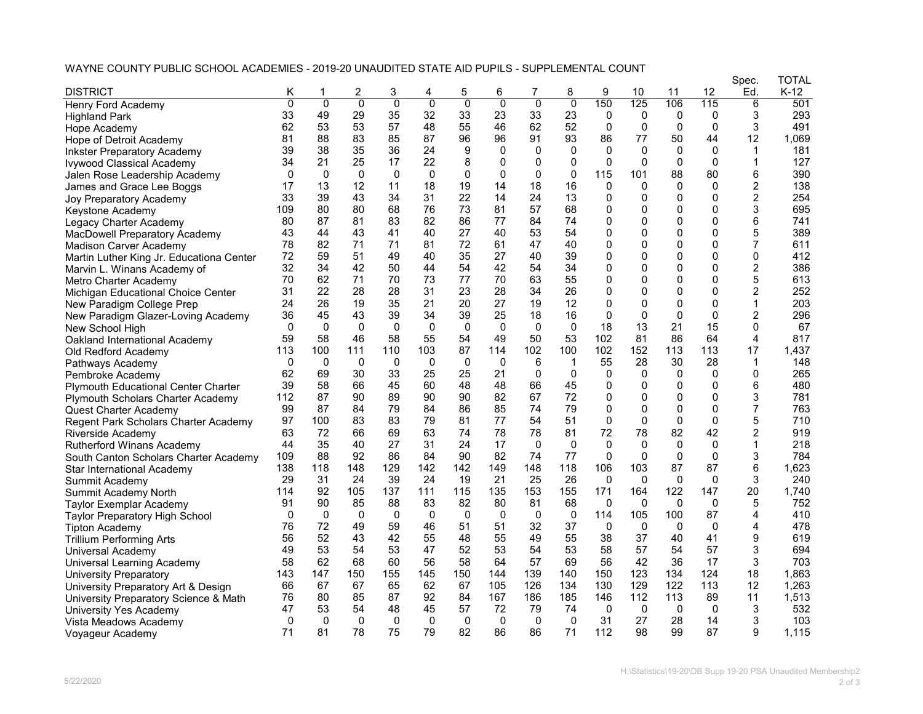## WAYNE COUNTY PUBLIC SCHOOL ACADEMIES - 2019-20 UNAUDITED STATE AID PUPILS - SUPPLEMENTAL COUNT

|                                            |          |             |                |                |                |             |                |                |                |              |              |              |              | Spec.          | TOTAL  |
|--------------------------------------------|----------|-------------|----------------|----------------|----------------|-------------|----------------|----------------|----------------|--------------|--------------|--------------|--------------|----------------|--------|
| <b>DISTRICT</b>                            | Κ        |             | 2              | 3              | 4              | 5           | 6              |                | 8              | 9            | 10           | 11           | 12           | Ed.            | $K-12$ |
| <b>Henry Ford Academy</b>                  | 0        | 0           | $\overline{0}$ | $\overline{0}$ | $\overline{0}$ | 0           | $\overline{0}$ | $\overline{0}$ | $\overline{0}$ | 150          | 125          | 106          | 115          | 6              | 501    |
| <b>Highland Park</b>                       | 33       | 49          | 29             | 35             | 32             | 33          | 23             | 33             | 23             | 0            | $\mathbf{0}$ | 0            | 0            | 3              | 293    |
| Hope Academy                               | 62       | 53          | 53             | 57             | 48             | 55          | 46             | 62             | 52             | $\Omega$     | 0            | $\Omega$     | 0            | 3              | 491    |
| Hope of Detroit Academy                    | 81       | 88          | 83             | 85             | 87             | 96          | 96             | 91             | 93             | 86           | 77           | 50           | 44           | 12             | 1,069  |
| <b>Inkster Preparatory Academy</b>         | 39       | 38          | 35             | 36             | 24             | 9           | $\mathbf{0}$   | 0              | $\mathbf{0}$   | $\Omega$     | $\mathbf{0}$ | 0            | $\Omega$     | $\mathbf 1$    | 181    |
| Ivywood Classical Academy                  | 34       | 21          | 25             | 17             | 22             | 8           | 0              | 0              | 0              | $\mathbf{0}$ | $\Omega$     | 0            | 0            | 1              | 127    |
| Jalen Rose Leadership Academy              | $\Omega$ | $\Omega$    | $\mathbf{0}$   | $\mathbf{0}$   | $\mathbf{0}$   | $\mathbf 0$ | $\Omega$       | $\Omega$       | $\mathbf 0$    | 115          | 101          | 88           | 80           | 6              | 390    |
| James and Grace Lee Boggs                  | 17       | 13          | 12             | 11             | 18             | 19          | 14             | 18             | 16             | 0            | $\Omega$     | $\Omega$     | 0            | 2              | 138    |
| Joy Preparatory Academy                    | 33       | 39          | 43             | 34             | 31             | 22          | 14             | 24             | 13             | 0            | $\Omega$     | $\Omega$     | 0            | $\overline{2}$ | 254    |
| Keystone Academy                           | 109      | 80          | 80             | 68             | 76             | 73          | 81             | 57             | 68             | 0            | $\mathbf{0}$ | $\Omega$     | $\Omega$     | 3              | 695    |
| Legacy Charter Academy                     | 80       | 87          | 81             | 83             | 82             | 86          | 77             | 84             | 74             | 0            | 0            | $\Omega$     | $\Omega$     | 6              | 741    |
| MacDowell Preparatory Academy              | 43       | 44          | 43             | 41             | 40             | 27          | 40             | 53             | 54             | $\Omega$     | $\mathbf{0}$ | $\Omega$     | 0            | 5              | 389    |
| <b>Madison Carver Academy</b>              | 78       | 82          | 71             | 71             | 81             | 72          | 61             | 47             | 40             | 0            | $\mathbf{0}$ | $\Omega$     | $\Omega$     | 7              | 611    |
| Martin Luther King Jr. Educationa Center   | 72       | 59          | 51             | 49             | 40             | 35          | 27             | 40             | 39             | 0            | $\mathbf{0}$ | 0            | 0            | 0              | 412    |
| Marvin L. Winans Academy of                | 32       | 34          | 42             | 50             | 44             | 54          | 42             | 54             | 34             | 0            | $\mathbf{0}$ | 0            | $\Omega$     | 2              | 386    |
| Metro Charter Academy                      | 70       | 62          | 71             | 70             | 73             | 77          | 70             | 63             | 55             | 0            | $\mathbf 0$  | $\Omega$     | 0            | 5              | 613    |
| Michigan Educational Choice Center         | 31       | 22          | 28             | 28             | 31             | 23          | 28             | 34             | 26             | $\Omega$     | $\Omega$     | 0            | 0            | 2              | 252    |
| New Paradigm College Prep                  | 24       | 26          | 19             | 35             | 21             | 20          | 27             | 19             | 12             | $\Omega$     | $\mathbf{0}$ | $\Omega$     | $\Omega$     | 1              | 203    |
| New Paradigm Glazer-Loving Academy         | 36       | 45          | 43             | 39             | 34             | 39          | 25             | 18             | 16             | $\Omega$     | $\Omega$     | $\Omega$     | $\Omega$     | 2              | 296    |
| New School High                            | $\Omega$ | $\Omega$    | $\mathbf{0}$   | 0              | $\mathbf 0$    | $\mathbf 0$ | $\Omega$       | $\mathbf{0}$   | 0              | 18           | 13           | 21           | 15           | 0              | 67     |
| Oakland International Academy              | 59       | 58          | 46             | 58             | 55             | 54          | 49             | 50             | 53             | 102          | 81           | 86           | 64           | 4              | 817    |
| Old Redford Academy                        | 113      | 100         | 111            | 110            | 103            | 87          | 114            | 102            | 100            | 102          | 152          | 113          | 113          | 17             | 1,437  |
| Pathways Academy                           | $\Omega$ | $\mathbf 0$ | $\Omega$       | $\mathbf 0$    | $\mathbf 0$    | $\mathbf 0$ | $\Omega$       | 6              | $\mathbf{1}$   | 55           | 28           | 30           | 28           | 1              | 148    |
| Pembroke Academy                           | 62       | 69          | 30             | 33             | 25             | 25          | 21             | 0              | 0              | 0            | $\Omega$     | 0            | 0            | 0              | 265    |
| <b>Plymouth Educational Center Charter</b> | 39       | 58          | 66             | 45             | 60             | 48          | 48             | 66             | 45             | $\mathbf{0}$ | 0            | $\mathbf{0}$ | $\Omega$     | 6              | 480    |
| Plymouth Scholars Charter Academy          | 112      | 87          | 90             | 89             | 90             | 90          | 82             | 67             | 72             | $\Omega$     | $\mathbf{0}$ | $\Omega$     | $\Omega$     | 3              | 781    |
| Quest Charter Academy                      | 99       | 87          | 84             | 79             | 84             | 86          | 85             | 74             | 79             | 0            | $\mathbf{0}$ | $\Omega$     | $\Omega$     | 7              | 763    |
|                                            | 97       | 100         | 83             | 83             | 79             | 81          | 77             | 54             | 51             | $\mathbf 0$  | $\Omega$     | $\Omega$     | $\Omega$     | 5              | 710    |
| Regent Park Scholars Charter Academy       | 63       | 72          | 66             | 69             | 63             | 74          | 78             | 78             | 81             | 72           | 78           | 82           | 42           | 2              | 919    |
| Riverside Academy                          | 44       | 35          | 40             | 27             | 31             | 24          | 17             | $\mathbf{0}$   | $\mathbf{0}$   | $\Omega$     | $\Omega$     | $\Omega$     | $\mathbf{0}$ | 1              | 218    |
| <b>Rutherford Winans Academy</b>           | 109      | 88          | 92             | 86             | 84             | 90          | 82             | 74             | 77             | $\Omega$     | $\Omega$     | 0            | 0            | 3              | 784    |
| South Canton Scholars Charter Academy      | 138      | 118         | 148            | 129            | 142            | 142         | 149            | 148            | 118            | 106          | 103          | 87           | 87           | 6              | 1,623  |
| Star International Academy                 | 29       | 31          | 24             | 39             | 24             | 19          | 21             | 25             | 26             | $\Omega$     | $\Omega$     | $\mathbf{0}$ | $\Omega$     | 3              | 240    |
| Summit Academy                             | 114      | 92          | 105            | 137            | 111            | 115         | 135            | 153            | 155            | 171          | 164          | 122          | 147          | 20             | 1.740  |
| Summit Academy North                       | 91       | 90          | 85             | 88             | 83             | 82          | 80             | 81             | 68             | $\Omega$     | $\mathbf{0}$ | $\mathbf{0}$ | 0            | 5              | 752    |
| <b>Taylor Exemplar Academy</b>             | $\Omega$ | 0           | 0              | 0              | $\mathbf 0$    | 0           | 0              | $\mathbf{0}$   | 0              | 114          |              | 100          | 87           | 4              | 410    |
| Taylor Preparatory High School             |          |             |                |                |                |             |                |                |                |              | 105          |              |              |                |        |
| <b>Tipton Academy</b>                      | 76       | 72<br>52    | 49             | 59             | 46             | 51          | 51             | 32             | 37             | 0            | $\mathbf{0}$ | 0            | $\mathbf{0}$ | 4              | 478    |
| Trillium Performing Arts                   | 56       |             | 43             | 42             | 55             | 48          | 55             | 49             | 55             | 38           | 37           | 40           | 41           | 9              | 619    |
| Universal Academy                          | 49       | 53          | 54             | 53             | 47             | 52          | 53             | 54             | 53             | 58           | 57           | 54           | 57           | 3              | 694    |
| Universal Learning Academy                 | 58       | 62          | 68             | 60             | 56             | 58          | 64             | 57             | 69             | 56           | 42           | 36           | 17           | 3              | 703    |
| <b>University Preparatory</b>              | 143      | 147         | 150            | 155            | 145            | 150         | 144            | 139            | 140            | 150          | 123          | 134          | 124          | 18             | 1,863  |
| University Preparatory Art & Design        | 66       | 67          | 67             | 65             | 62             | 67          | 105            | 126            | 134            | 130          | 129          | 122          | 113          | 12             | 1.263  |
| University Preparatory Science & Math      | 76       | 80          | 85             | 87             | 92             | 84          | 167            | 186            | 185            | 146          | 112          | 113          | 89           | 11             | 1,513  |
| University Yes Academy                     | 47       | 53          | 54             | 48             | 45             | 57          | 72             | 79             | 74             | $\Omega$     | $\mathbf{0}$ | $\mathbf{0}$ | 0            | 3              | 532    |
| Vista Meadows Academy                      | $\Omega$ | 0           | $\mathbf{0}$   | 0              | $\mathbf{0}$   | 0           | 0              | 0              | 0              | 31           | 27           | 28           | 14           | 3              | 103    |
| Voyageur Academy                           | 71       | 81          | 78             | 75             | 79             | 82          | 86             | 86             | 71             | 112          | 98           | 99           | 87           | 9              | 1,115  |